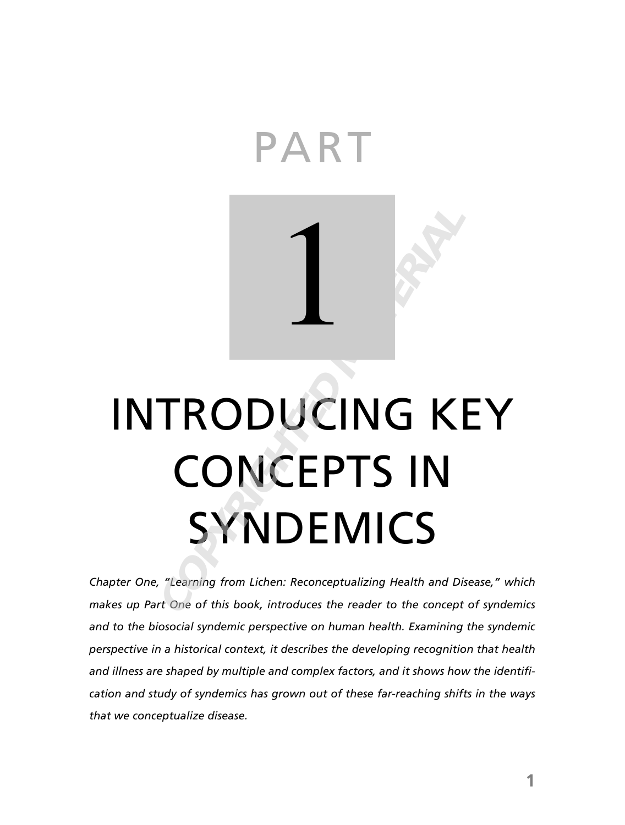# PART



*Chapter One , " Learning from Lichen: Reconceptualizing Health and Disease, "which makes up Part One of this book, introduces the reader to the concept of syndemics and to the biosocial syndemic perspective on human health. Examining the syndemic perspective in a historical context, it describes the developing recognition that health and illness are shaped by multiple and complex factors, and it shows how the identifi cation and study of syndemics has grown out of these far - reaching shifts in the ways that we conceptualize disease.*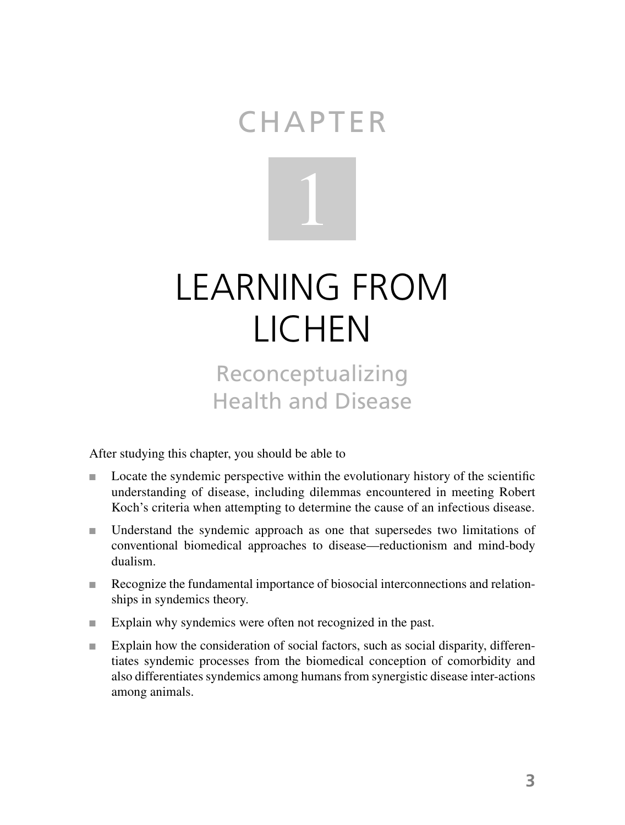# CHAPTER 1 LEARNING FROM

# LICHEN

Reconceptualizing Health and Disease

After studying this chapter, you should be able to

- Locate the syndemic perspective within the evolutionary history of the scientific understanding of disease, including dilemmas encountered in meeting Robert Koch's criteria when attempting to determine the cause of an infectious disease.
- Understand the syndemic approach as one that supersedes two limitations of conventional biomedical approaches to disease — reductionism and mind - body dualism.
- Recognize the fundamental importance of biosocial interconnections and relationships in syndemics theory.
- Explain why syndemics were often not recognized in the past.
- Explain how the consideration of social factors, such as social disparity, differentiates syndemic processes from the biomedical conception of comorbidity and also differentiates syndemics among humans from synergistic disease inter-actions among animals.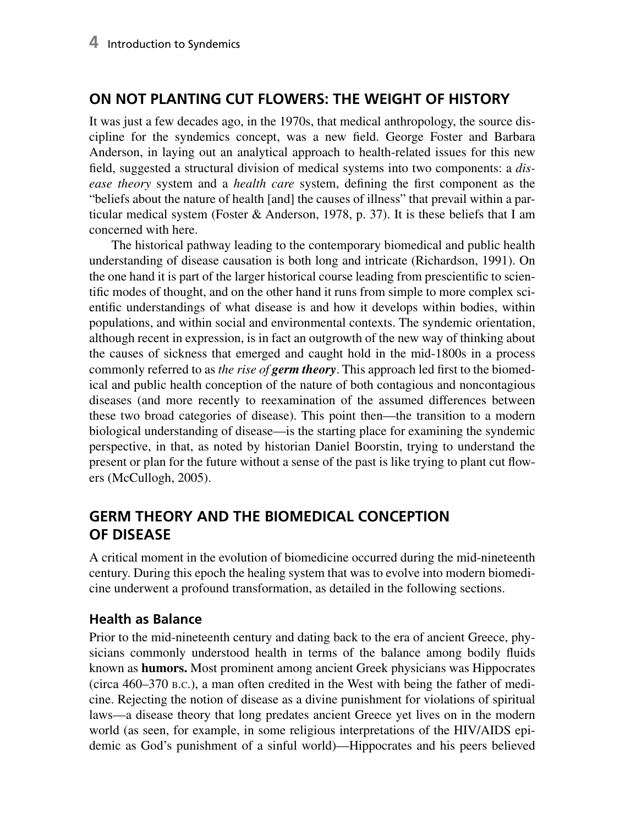# **ON NOT PLANTING CUT FLOWERS: THE WEIGHT OF HISTORY**

 It was just a few decades ago, in the 1970s, that medical anthropology, the source discipline for the syndemics concept, was a new field. George Foster and Barbara Anderson, in laying out an analytical approach to health - related issues for this new field, suggested a structural division of medical systems into two components: a *disease theory* system and a *health care* system, defining the first component as the " beliefs about the nature of health [and] the causes of illness " that prevail within a particular medical system (Foster & Anderson, 1978, p. 37). It is these beliefs that I am concerned with here.

 The historical pathway leading to the contemporary biomedical and public health understanding of disease causation is both long and intricate (Richardson, 1991). On the one hand it is part of the larger historical course leading from prescientific to scientific modes of thought, and on the other hand it runs from simple to more complex scientific understandings of what disease is and how it develops within bodies, within populations, and within social and environmental contexts. The syndemic orientation, although recent in expression, is in fact an outgrowth of the new way of thinking about the causes of sickness that emerged and caught hold in the mid - 1800s in a process commonly referred to as *the rise of germ theory*. This approach led first to the biomedical and public health conception of the nature of both contagious and noncontagious diseases (and more recently to reexamination of the assumed differences between these two broad categories of disease). This point then — the transition to a modern biological understanding of disease—is the starting place for examining the syndemic perspective, in that, as noted by historian Daniel Boorstin, trying to understand the present or plan for the future without a sense of the past is like trying to plant cut flowers (McCullogh, 2005).

# **GERM THEORY AND THE BIOMEDICAL CONCEPTION OF DISEASE**

 A critical moment in the evolution of biomedicine occurred during the mid - nineteenth century. During this epoch the healing system that was to evolve into modern biomedicine underwent a profound transformation, as detailed in the following sections.

# **Health as Balance**

Prior to the mid-nineteenth century and dating back to the era of ancient Greece, physicians commonly understood health in terms of the balance among bodily fluids known as **humors.** Most prominent among ancient Greek physicians was Hippocrates (circa  $460-370$  B.C.), a man often credited in the West with being the father of medicine. Rejecting the notion of disease as a divine punishment for violations of spiritual laws — a disease theory that long predates ancient Greece yet lives on in the modern world (as seen, for example, in some religious interpretations of the HIV/AIDS epidemic as God's punishment of a sinful world)—Hippocrates and his peers believed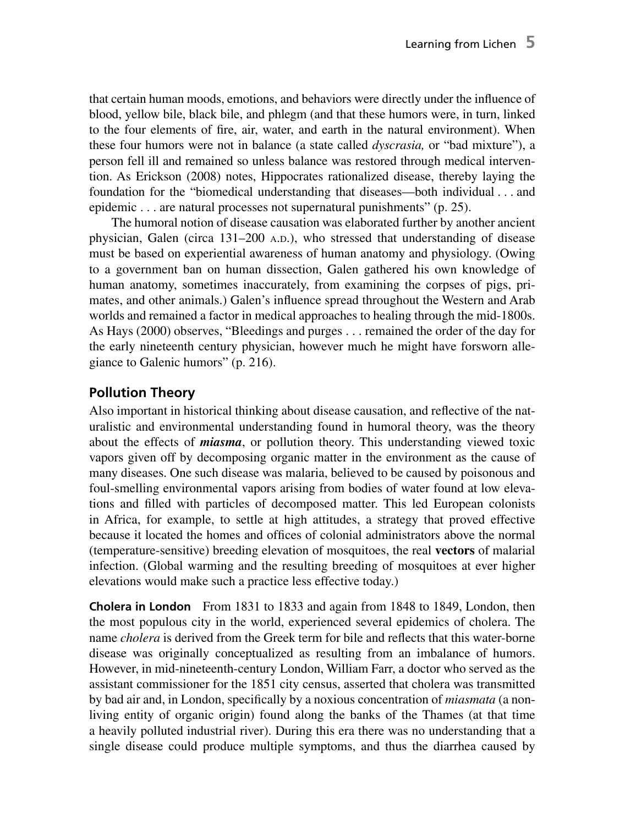that certain human moods, emotions, and behaviors were directly under the influence of blood, yellow bile, black bile, and phlegm (and that these humors were, in turn, linked to the four elements of fire, air, water, and earth in the natural environment). When these four humors were not in balance (a state called *dyscrasia*, or "bad mixture"), a person fell ill and remained so unless balance was restored through medical intervention. As Erickson (2008) notes, Hippocrates rationalized disease, thereby laying the foundation for the "biomedical understanding that diseases—both individual . . . and epidemic . . . are natural processes not supernatural punishments" (p. 25).

 The humoral notion of disease causation was elaborated further by another ancient physician, Galen (circa  $131-200$  A.D.), who stressed that understanding of disease must be based on experiential awareness of human anatomy and physiology. (Owing to a government ban on human dissection, Galen gathered his own knowledge of human anatomy, sometimes inaccurately, from examining the corpses of pigs, primates, and other animals.) Galen's influence spread throughout the Western and Arab worlds and remained a factor in medical approaches to healing through the mid-1800s. As Hays (2000) observes, "Bleedings and purges . . . remained the order of the day for the early nineteenth century physician, however much he might have forsworn allegiance to Galenic humors" (p. 216).

## **Pollution Theory**

Also important in historical thinking about disease causation, and reflective of the naturalistic and environmental understanding found in humoral theory, was the theory about the effects of *miasma*, or pollution theory. This understanding viewed toxic vapors given off by decomposing organic matter in the environment as the cause of many diseases. One such disease was malaria, believed to be caused by poisonous and foul - smelling environmental vapors arising from bodies of water found at low elevations and filled with particles of decomposed matter. This led European colonists in Africa, for example, to settle at high attitudes, a strategy that proved effective because it located the homes and offices of colonial administrators above the normal (temperature - sensitive) breeding elevation of mosquitoes, the real **vectors** of malarial infection. (Global warming and the resulting breeding of mosquitoes at ever higher elevations would make such a practice less effective today.)

**Cholera in London** From 1831 to 1833 and again from 1848 to 1849, London, then the most populous city in the world, experienced several epidemics of cholera. The name *cholera* is derived from the Greek term for bile and reflects that this water-borne disease was originally conceptualized as resulting from an imbalance of humors. However, in mid - nineteenth - century London, William Farr, a doctor who served as the assistant commissioner for the 1851 city census, asserted that cholera was transmitted by bad air and, in London, specifically by a noxious concentration of *miasmata* (a nonliving entity of organic origin) found along the banks of the Thames (at that time a heavily polluted industrial river). During this era there was no understanding that a single disease could produce multiple symptoms, and thus the diarrhea caused by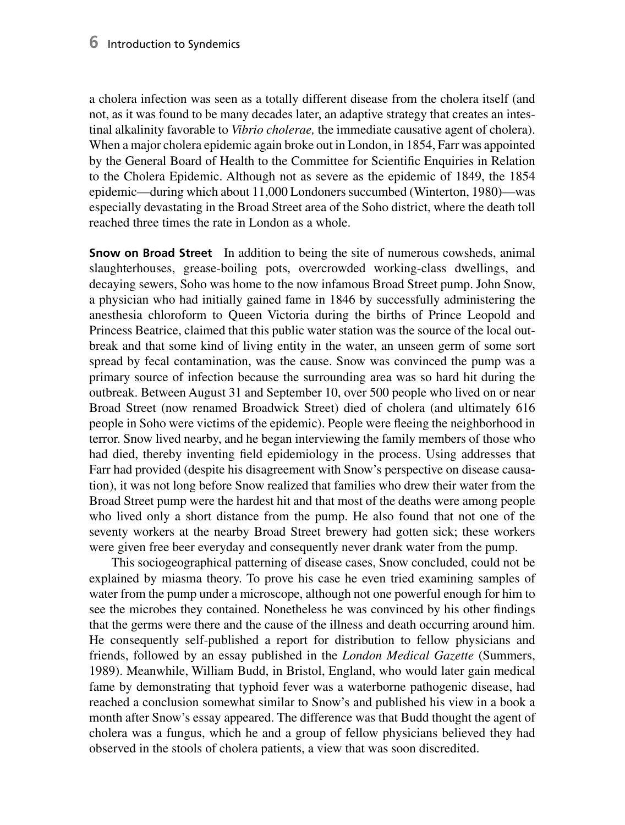a cholera infection was seen as a totally different disease from the cholera itself (and not, as it was found to be many decades later, an adaptive strategy that creates an intestinal alkalinity favorable to *Vibrio cholerae,* the immediate causative agent of cholera). When a major cholera epidemic again broke out in London, in 1854, Farr was appointed by the General Board of Health to the Committee for Scientific Enquiries in Relation to the Cholera Epidemic. Although not as severe as the epidemic of 1849, the 1854 epidemic — during which about 11,000 Londoners succumbed (Winterton, 1980) — was especially devastating in the Broad Street area of the Soho district, where the death toll reached three times the rate in London as a whole.

**Snow on Broad Street** In addition to being the site of numerous cowsheds, animal slaughterhouses, grease-boiling pots, overcrowded working-class dwellings, and decaying sewers, Soho was home to the now infamous Broad Street pump. John Snow, a physician who had initially gained fame in 1846 by successfully administering the anesthesia chloroform to Queen Victoria during the births of Prince Leopold and Princess Beatrice, claimed that this public water station was the source of the local outbreak and that some kind of living entity in the water, an unseen germ of some sort spread by fecal contamination, was the cause. Snow was convinced the pump was a primary source of infection because the surrounding area was so hard hit during the outbreak. Between August 31 and September 10, over 500 people who lived on or near Broad Street (now renamed Broadwick Street) died of cholera (and ultimately 616 people in Soho were victims of the epidemic). People were fleeing the neighborhood in terror. Snow lived nearby, and he began interviewing the family members of those who had died, thereby inventing field epidemiology in the process. Using addresses that Farr had provided (despite his disagreement with Snow's perspective on disease causation), it was not long before Snow realized that families who drew their water from the Broad Street pump were the hardest hit and that most of the deaths were among people who lived only a short distance from the pump. He also found that not one of the seventy workers at the nearby Broad Street brewery had gotten sick; these workers were given free beer everyday and consequently never drank water from the pump.

 This sociogeographical patterning of disease cases, Snow concluded, could not be explained by miasma theory. To prove his case he even tried examining samples of water from the pump under a microscope, although not one powerful enough for him to see the microbes they contained. Nonetheless he was convinced by his other findings that the germs were there and the cause of the illness and death occurring around him. He consequently self-published a report for distribution to fellow physicians and friends, followed by an essay published in the *London Medical Gazette* (Summers, 1989). Meanwhile, William Budd, in Bristol, England, who would later gain medical fame by demonstrating that typhoid fever was a waterborne pathogenic disease, had reached a conclusion somewhat similar to Snow's and published his view in a book a month after Snow's essay appeared. The difference was that Budd thought the agent of cholera was a fungus, which he and a group of fellow physicians believed they had observed in the stools of cholera patients, a view that was soon discredited.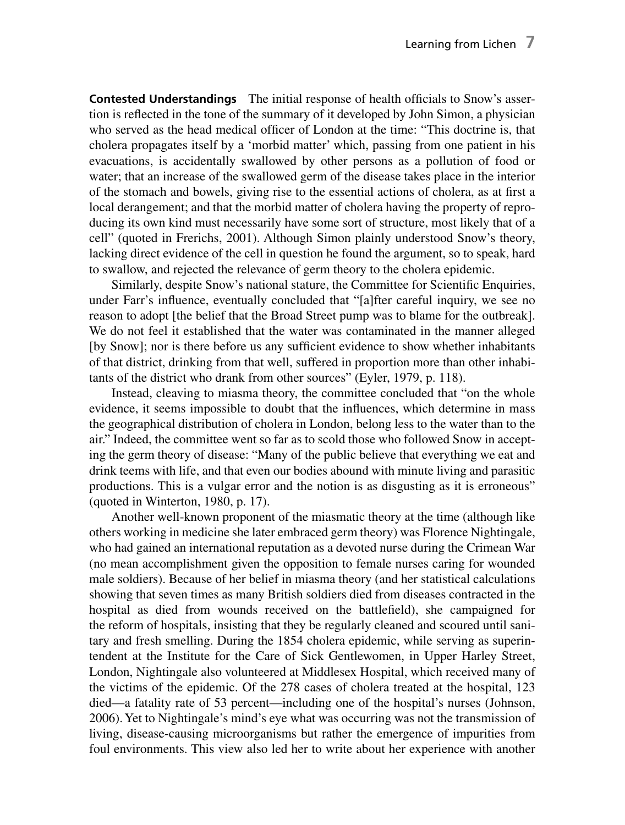**Contested Understandings** The initial response of health officials to Snow's assertion is reflected in the tone of the summary of it developed by John Simon, a physician who served as the head medical officer of London at the time: "This doctrine is, that cholera propagates itself by a 'morbid matter' which, passing from one patient in his evacuations, is accidentally swallowed by other persons as a pollution of food or water; that an increase of the swallowed germ of the disease takes place in the interior of the stomach and bowels, giving rise to the essential actions of cholera, as at first a local derangement; and that the morbid matter of cholera having the property of reproducing its own kind must necessarily have some sort of structure, most likely that of a cell" (quoted in Frerichs, 2001). Although Simon plainly understood Snow's theory, lacking direct evidence of the cell in question he found the argument, so to speak, hard to swallow, and rejected the relevance of germ theory to the cholera epidemic.

Similarly, despite Snow's national stature, the Committee for Scientific Enquiries, under Farr's influence, eventually concluded that "[a]fter careful inquiry, we see no reason to adopt [the belief that the Broad Street pump was to blame for the outbreak]. We do not feel it established that the water was contaminated in the manner alleged [by Snow]; nor is there before us any sufficient evidence to show whether inhabitants of that district, drinking from that well, suffered in proportion more than other inhabitants of the district who drank from other sources" (Eyler, 1979, p. 118).

Instead, cleaving to miasma theory, the committee concluded that "on the whole evidence, it seems impossible to doubt that the influences, which determine in mass the geographical distribution of cholera in London, belong less to the water than to the air." Indeed, the committee went so far as to scold those who followed Snow in accepting the germ theory of disease: " Many of the public believe that everything we eat and drink teems with life, and that even our bodies abound with minute living and parasitic productions. This is a vulgar error and the notion is as disgusting as it is erroneous" (quoted in Winterton, 1980, p. 17).

Another well-known proponent of the miasmatic theory at the time (although like others working in medicine she later embraced germ theory) was Florence Nightingale, who had gained an international reputation as a devoted nurse during the Crimean War (no mean accomplishment given the opposition to female nurses caring for wounded male soldiers). Because of her belief in miasma theory (and her statistical calculations showing that seven times as many British soldiers died from diseases contracted in the hospital as died from wounds received on the battlefield), she campaigned for the reform of hospitals, insisting that they be regularly cleaned and scoured until sanitary and fresh smelling. During the 1854 cholera epidemic, while serving as superintendent at the Institute for the Care of Sick Gentlewomen, in Upper Harley Street, London, Nightingale also volunteered at Middlesex Hospital, which received many of the victims of the epidemic. Of the 278 cases of cholera treated at the hospital, 123 died—a fatality rate of 53 percent—including one of the hospital's nurses (Johnson, 2006). Yet to Nightingale's mind's eye what was occurring was not the transmission of living, disease - causing microorganisms but rather the emergence of impurities from foul environments. This view also led her to write about her experience with another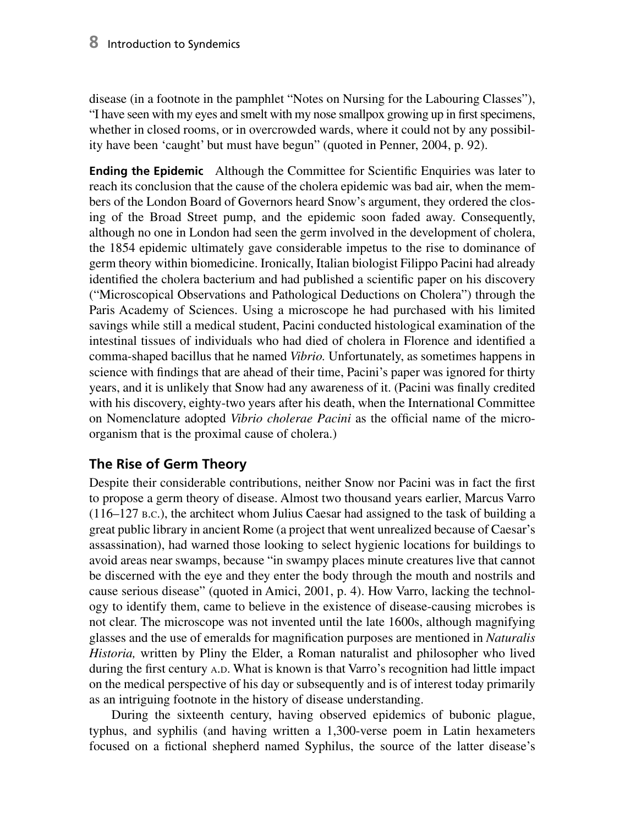disease (in a footnote in the pamphlet "Notes on Nursing for the Labouring Classes"), "I have seen with my eyes and smelt with my nose smallpox growing up in first specimens, whether in closed rooms, or in overcrowded wards, where it could not by any possibility have been 'caught' but must have begun" (quoted in Penner, 2004, p. 92).

**Ending the Epidemic** Although the Committee for Scientific Enquiries was later to reach its conclusion that the cause of the cholera epidemic was bad air, when the members of the London Board of Governors heard Snow's argument, they ordered the closing of the Broad Street pump, and the epidemic soon faded away. Consequently, although no one in London had seen the germ involved in the development of cholera, the 1854 epidemic ultimately gave considerable impetus to the rise to dominance of germ theory within biomedicine. Ironically, Italian biologist Filippo Pacini had already identified the cholera bacterium and had published a scientific paper on his discovery ("Microscopical Observations and Pathological Deductions on Cholera") through the Paris Academy of Sciences. Using a microscope he had purchased with his limited savings while still a medical student, Pacini conducted histological examination of the intestinal tissues of individuals who had died of cholera in Florence and identified a comma - shaped bacillus that he named *Vibrio.* Unfortunately, as sometimes happens in science with findings that are ahead of their time, Pacini's paper was ignored for thirty years, and it is unlikely that Snow had any awareness of it. (Pacini was finally credited with his discovery, eighty-two years after his death, when the International Committee on Nomenclature adopted *Vibrio cholerae Pacini* as the official name of the microorganism that is the proximal cause of cholera.)

# **The Rise of Germ Theory**

Despite their considerable contributions, neither Snow nor Pacini was in fact the first to propose a germ theory of disease. Almost two thousand years earlier, Marcus Varro  $(116-127 \text{ g.c.})$ , the architect whom Julius Caesar had assigned to the task of building a great public library in ancient Rome (a project that went unrealized because of Caesar's assassination), had warned those looking to select hygienic locations for buildings to avoid areas near swamps, because "in swampy places minute creatures live that cannot be discerned with the eye and they enter the body through the mouth and nostrils and cause serious disease" (quoted in Amici, 2001, p. 4). How Varro, lacking the technology to identify them, came to believe in the existence of disease - causing microbes is not clear. The microscope was not invented until the late 1600s, although magnifying glasses and the use of emeralds for magnification purposes are mentioned in *Naturalis Historia,* written by Pliny the Elder, a Roman naturalist and philosopher who lived during the first century A.D. What is known is that Varro's recognition had little impact on the medical perspective of his day or subsequently and is of interest today primarily as an intriguing footnote in the history of disease understanding.

 During the sixteenth century, having observed epidemics of bubonic plague, typhus, and syphilis (and having written a 1,300-verse poem in Latin hexameters focused on a fictional shepherd named Syphilus, the source of the latter disease's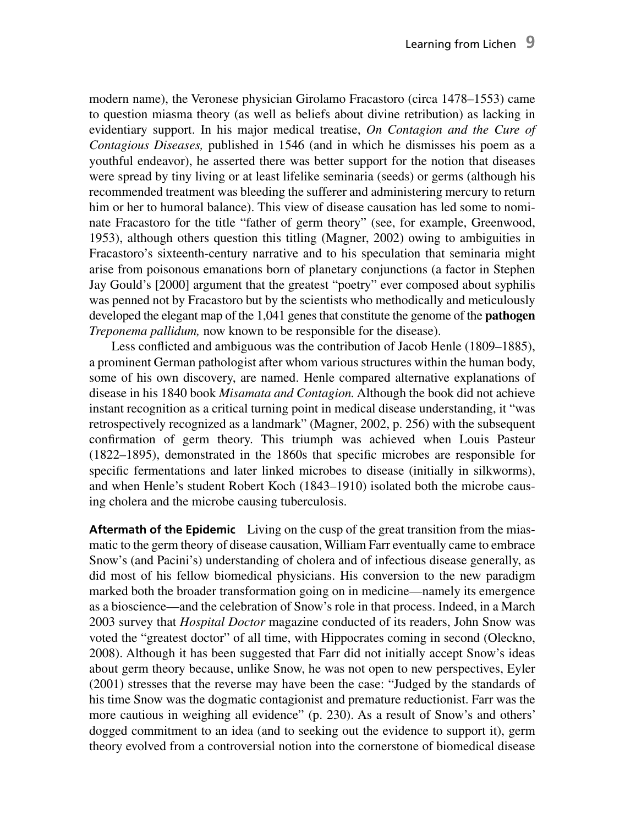modern name), the Veronese physician Girolamo Fracastoro (circa 1478–1553) came to question miasma theory (as well as beliefs about divine retribution) as lacking in evidentiary support. In his major medical treatise, *On Contagion and the Cure of Contagious Diseases,* published in 1546 (and in which he dismisses his poem as a youthful endeavor), he asserted there was better support for the notion that diseases were spread by tiny living or at least lifelike seminaria (seeds) or germs (although his recommended treatment was bleeding the sufferer and administering mercury to return him or her to humoral balance). This view of disease causation has led some to nominate Fracastoro for the title "father of germ theory" (see, for example, Greenwood, 1953), although others question this titling (Magner, 2002) owing to ambiguities in Fracastoro's sixteenth-century narrative and to his speculation that seminaria might arise from poisonous emanations born of planetary conjunctions (a factor in Stephen Jay Gould's [2000] argument that the greatest "poetry" ever composed about syphilis was penned not by Fracastoro but by the scientists who methodically and meticulously developed the elegant map of the 1,041 genes that constitute the genome of the **pathogen** *Treponema pallidum,* now known to be responsible for the disease).

Less conflicted and ambiguous was the contribution of Jacob Henle (1809–1885), a prominent German pathologist after whom various structures within the human body, some of his own discovery, are named. Henle compared alternative explanations of disease in his 1840 book *Misamata and Contagion.* Although the book did not achieve instant recognition as a critical turning point in medical disease understanding, it " was retrospectively recognized as a landmark" (Magner, 2002, p. 256) with the subsequent confirmation of germ theory. This triumph was achieved when Louis Pasteur  $(1822 - 1895)$ , demonstrated in the 1860s that specific microbes are responsible for specific fermentations and later linked microbes to disease (initially in silkworms), and when Henle's student Robert Koch (1843–1910) isolated both the microbe causing cholera and the microbe causing tuberculosis.

**Aftermath of the Epidemic** Living on the cusp of the great transition from the miasmatic to the germ theory of disease causation, William Farr eventually came to embrace Snow's (and Pacini's) understanding of cholera and of infectious disease generally, as did most of his fellow biomedical physicians. His conversion to the new paradigm marked both the broader transformation going on in medicine—namely its emergence as a bioscience—and the celebration of Snow's role in that process. Indeed, in a March 2003 survey that *Hospital Doctor* magazine conducted of its readers, John Snow was voted the "greatest doctor" of all time, with Hippocrates coming in second (Oleckno, 2008). Although it has been suggested that Farr did not initially accept Snow's ideas about germ theory because, unlike Snow, he was not open to new perspectives, Eyler (2001) stresses that the reverse may have been the case: " Judged by the standards of his time Snow was the dogmatic contagionist and premature reductionist. Farr was the more cautious in weighing all evidence" (p. 230). As a result of Snow's and others' dogged commitment to an idea (and to seeking out the evidence to support it), germ theory evolved from a controversial notion into the cornerstone of biomedical disease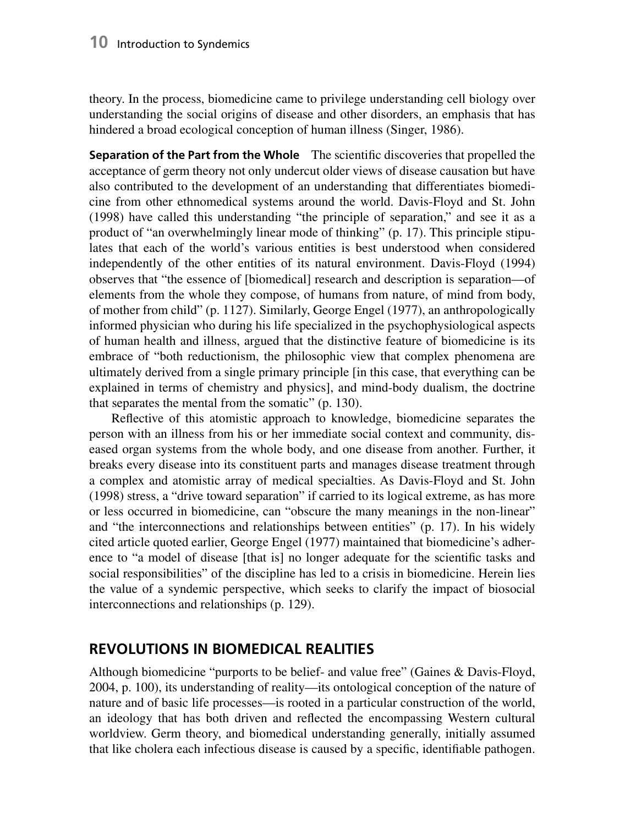theory. In the process, biomedicine came to privilege understanding cell biology over understanding the social origins of disease and other disorders, an emphasis that has hindered a broad ecological conception of human illness (Singer, 1986).

**Separation of the Part from the Whole** The scientific discoveries that propelled the acceptance of germ theory not only undercut older views of disease causation but have also contributed to the development of an understanding that differentiates biomedicine from other ethnomedical systems around the world. Davis - Floyd and St. John (1998) have called this understanding " the principle of separation, " and see it as a product of "an overwhelmingly linear mode of thinking"  $(p, 17)$ . This principle stipulates that each of the world's various entities is best understood when considered independently of the other entities of its natural environment. Davis - Floyd (1994) observes that "the essence of [biomedical] research and description is separation—of elements from the whole they compose, of humans from nature, of mind from body, of mother from child" (p. 1127). Similarly, George Engel (1977), an anthropologically informed physician who during his life specialized in the psychophysiological aspects of human health and illness, argued that the distinctive feature of biomedicine is its embrace of "both reductionism, the philosophic view that complex phenomena are ultimately derived from a single primary principle [in this case, that everything can be explained in terms of chemistry and physics], and mind-body dualism, the doctrine that separates the mental from the somatic"  $(p. 130)$ .

Reflective of this atomistic approach to knowledge, biomedicine separates the person with an illness from his or her immediate social context and community, diseased organ systems from the whole body, and one disease from another. Further, it breaks every disease into its constituent parts and manages disease treatment through a complex and atomistic array of medical specialties. As Davis - Floyd and St. John (1998) stress, a " drive toward separation " if carried to its logical extreme, as has more or less occurred in biomedicine, can "obscure the many meanings in the non-linear" and "the interconnections and relationships between entities"  $(p. 17)$ . In his widely cited article quoted earlier, George Engel (1977) maintained that biomedicine's adherence to "a model of disease [that is] no longer adequate for the scientific tasks and social responsibilities" of the discipline has led to a crisis in biomedicine. Herein lies the value of a syndemic perspective, which seeks to clarify the impact of biosocial interconnections and relationships (p. 129).

# **REVOLUTIONS IN BIOMEDICAL REALITIES**

Although biomedicine "purports to be belief- and value free" (Gaines & Davis-Floyd, 2004, p. 100), its understanding of reality — its ontological conception of the nature of nature and of basic life processes—is rooted in a particular construction of the world, an ideology that has both driven and reflected the encompassing Western cultural worldview. Germ theory, and biomedical understanding generally, initially assumed that like cholera each infectious disease is caused by a specific, identifiable pathogen.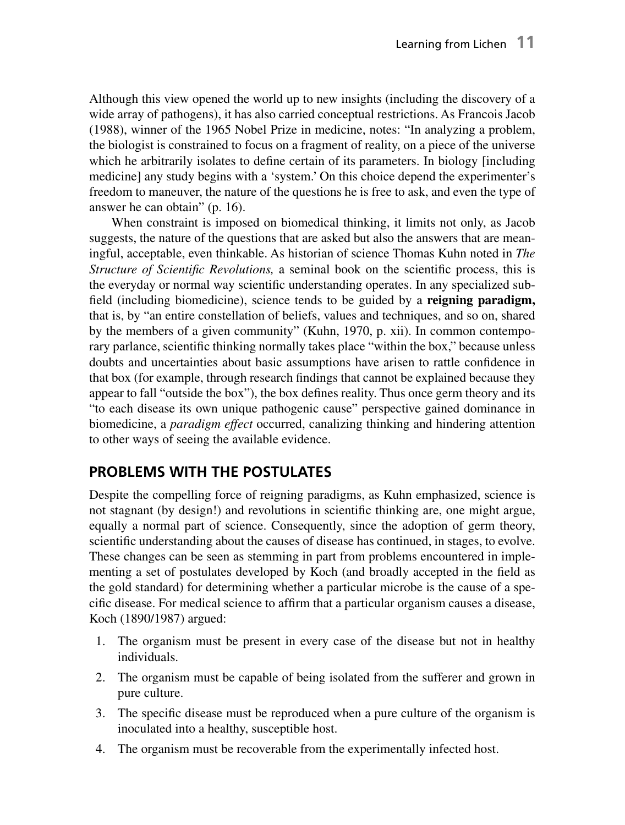Although this view opened the world up to new insights (including the discovery of a wide array of pathogens), it has also carried conceptual restrictions. As Francois Jacob (1988), winner of the 1965 Nobel Prize in medicine, notes: " In analyzing a problem, the biologist is constrained to focus on a fragment of reality, on a piece of the universe which he arbitrarily isolates to define certain of its parameters. In biology [including] medicine] any study begins with a 'system.' On this choice depend the experimenter's freedom to maneuver, the nature of the questions he is free to ask, and even the type of answer he can obtain" (p. 16).

 When constraint is imposed on biomedical thinking, it limits not only, as Jacob suggests, the nature of the questions that are asked but also the answers that are meaningful, acceptable, even thinkable. As historian of science Thomas Kuhn noted in *The Structure of Scientific Revolutions*, a seminal book on the scientific process, this is the everyday or normal way scientific understanding operates. In any specialized subfield (including biomedicine), science tends to be guided by a **reigning paradigm,** that is, by " an entire constellation of beliefs, values and techniques, and so on, shared by the members of a given community " (Kuhn, 1970, p. xii). In common contemporary parlance, scientific thinking normally takes place "within the box," because unless doubts and uncertainties about basic assumptions have arisen to rattle confidence in that box (for example, through research findings that cannot be explained because they appear to fall "outside the box"), the box defines reality. Thus once germ theory and its " to each disease its own unique pathogenic cause" perspective gained dominance in biomedicine, a *paradigm effect* occurred, canalizing thinking and hindering attention to other ways of seeing the available evidence.

# **PROBLEMS WITH THE POSTULATES**

 Despite the compelling force of reigning paradigms, as Kuhn emphasized, science is not stagnant (by design!) and revolutions in scientific thinking are, one might argue, equally a normal part of science. Consequently, since the adoption of germ theory, scientific understanding about the causes of disease has continued, in stages, to evolve. These changes can be seen as stemming in part from problems encountered in implementing a set of postulates developed by Koch (and broadly accepted in the field as the gold standard) for determining whether a particular microbe is the cause of a specific disease. For medical science to affirm that a particular organism causes a disease, Koch (1890/1987) argued:

- 1. The organism must be present in every case of the disease but not in healthy individuals.
- 2. The organism must be capable of being isolated from the sufferer and grown in pure culture.
- 3. The specific disease must be reproduced when a pure culture of the organism is inoculated into a healthy, susceptible host.
- 4. The organism must be recoverable from the experimentally infected host.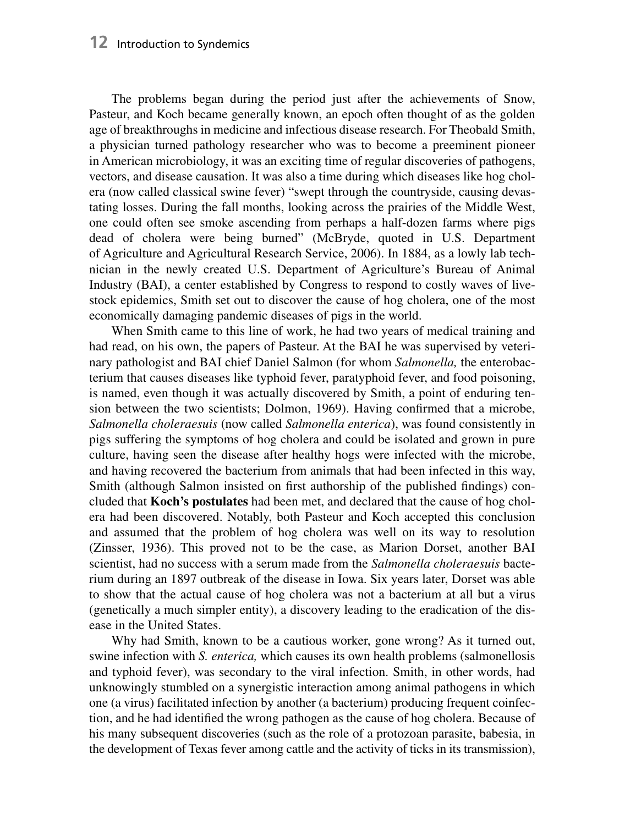#### **12** Introduction to Syndemics

 The problems began during the period just after the achievements of Snow, Pasteur, and Koch became generally known, an epoch often thought of as the golden age of breakthroughs in medicine and infectious disease research. For Theobald Smith, a physician turned pathology researcher who was to become a preeminent pioneer in American microbiology, it was an exciting time of regular discoveries of pathogens, vectors, and disease causation. It was also a time during which diseases like hog cholera (now called classical swine fever) " swept through the countryside, causing devastating losses. During the fall months, looking across the prairies of the Middle West, one could often see smoke ascending from perhaps a half - dozen farms where pigs dead of cholera were being burned" (McBryde, quoted in U.S. Department of Agriculture and Agricultural Research Service, 2006). In 1884, as a lowly lab technician in the newly created U.S. Department of Agriculture's Bureau of Animal Industry (BAI), a center established by Congress to respond to costly waves of livestock epidemics, Smith set out to discover the cause of hog cholera, one of the most economically damaging pandemic diseases of pigs in the world.

When Smith came to this line of work, he had two years of medical training and had read, on his own, the papers of Pasteur. At the BAI he was supervised by veterinary pathologist and BAI chief Daniel Salmon (for whom *Salmonella,* the enterobacterium that causes diseases like typhoid fever, paratyphoid fever, and food poisoning, is named, even though it was actually discovered by Smith, a point of enduring tension between the two scientists; Dolmon, 1969). Having confirmed that a microbe, *Salmonella choleraesuis* (now called *Salmonella enterica* ), was found consistently in pigs suffering the symptoms of hog cholera and could be isolated and grown in pure culture, having seen the disease after healthy hogs were infected with the microbe, and having recovered the bacterium from animals that had been infected in this way, Smith (although Salmon insisted on first authorship of the published findings) concluded that **Koch's postulates** had been met, and declared that the cause of hog cholera had been discovered. Notably, both Pasteur and Koch accepted this conclusion and assumed that the problem of hog cholera was well on its way to resolution (Zinsser, 1936). This proved not to be the case, as Marion Dorset, another BAI scientist, had no success with a serum made from the *Salmonella choleraesuis* bacterium during an 1897 outbreak of the disease in Iowa. Six years later, Dorset was able to show that the actual cause of hog cholera was not a bacterium at all but a virus (genetically a much simpler entity), a discovery leading to the eradication of the disease in the United States.

 Why had Smith, known to be a cautious worker, gone wrong? As it turned out, swine infection with *S. enterica,* which causes its own health problems (salmonellosis and typhoid fever), was secondary to the viral infection. Smith, in other words, had unknowingly stumbled on a synergistic interaction among animal pathogens in which one (a virus) facilitated infection by another (a bacterium) producing frequent coinfection, and he had identified the wrong pathogen as the cause of hog cholera. Because of his many subsequent discoveries (such as the role of a protozoan parasite, babesia, in the development of Texas fever among cattle and the activity of ticks in its transmission),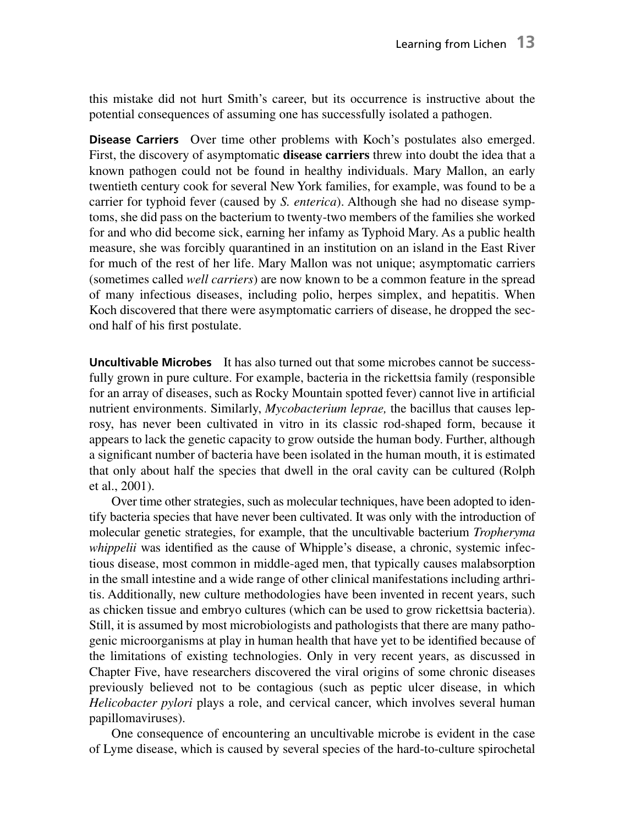this mistake did not hurt Smith's career, but its occurrence is instructive about the potential consequences of assuming one has successfully isolated a pathogen.

**Disease Carriers** Over time other problems with Koch's postulates also emerged. First, the discovery of asymptomatic **disease carriers** threw into doubt the idea that a known pathogen could not be found in healthy individuals. Mary Mallon, an early twentieth century cook for several New York families, for example, was found to be a carrier for typhoid fever (caused by *S. enterica* ). Although she had no disease symptoms, she did pass on the bacterium to twenty - two members of the families she worked for and who did become sick, earning her infamy as Typhoid Mary. As a public health measure, she was forcibly quarantined in an institution on an island in the East River for much of the rest of her life. Mary Mallon was not unique; asymptomatic carriers (sometimes called *well carriers* ) are now known to be a common feature in the spread of many infectious diseases, including polio, herpes simplex, and hepatitis. When Koch discovered that there were asymptomatic carriers of disease, he dropped the second half of his first postulate.

**Uncultivable Microbes** It has also turned out that some microbes cannot be successfully grown in pure culture. For example, bacteria in the rickettsia family (responsible for an array of diseases, such as Rocky Mountain spotted fever) cannot live in artificial nutrient environments. Similarly, *Mycobacterium leprae,* the bacillus that causes leprosy, has never been cultivated in vitro in its classic rod - shaped form, because it appears to lack the genetic capacity to grow outside the human body. Further, although a significant number of bacteria have been isolated in the human mouth, it is estimated that only about half the species that dwell in the oral cavity can be cultured (Rolph et al., 2001).

 Over time other strategies, such as molecular techniques, have been adopted to identify bacteria species that have never been cultivated. It was only with the introduction of molecular genetic strategies, for example, that the uncultivable bacterium *Tropheryma whippelii* was identified as the cause of Whipple's disease, a chronic, systemic infectious disease, most common in middle - aged men, that typically causes malabsorption in the small intestine and a wide range of other clinical manifestations including arthritis. Additionally, new culture methodologies have been invented in recent years, such as chicken tissue and embryo cultures (which can be used to grow rickettsia bacteria). Still, it is assumed by most microbiologists and pathologists that there are many pathogenic microorganisms at play in human health that have yet to be identified because of the limitations of existing technologies. Only in very recent years, as discussed in Chapter Five , have researchers discovered the viral origins of some chronic diseases previously believed not to be contagious (such as peptic ulcer disease, in which *Helicobacter pylori* plays a role, and cervical cancer, which involves several human papillomaviruses).

One consequence of encountering an uncultivable microbe is evident in the case of Lyme disease, which is caused by several species of the hard - to - culture spirochetal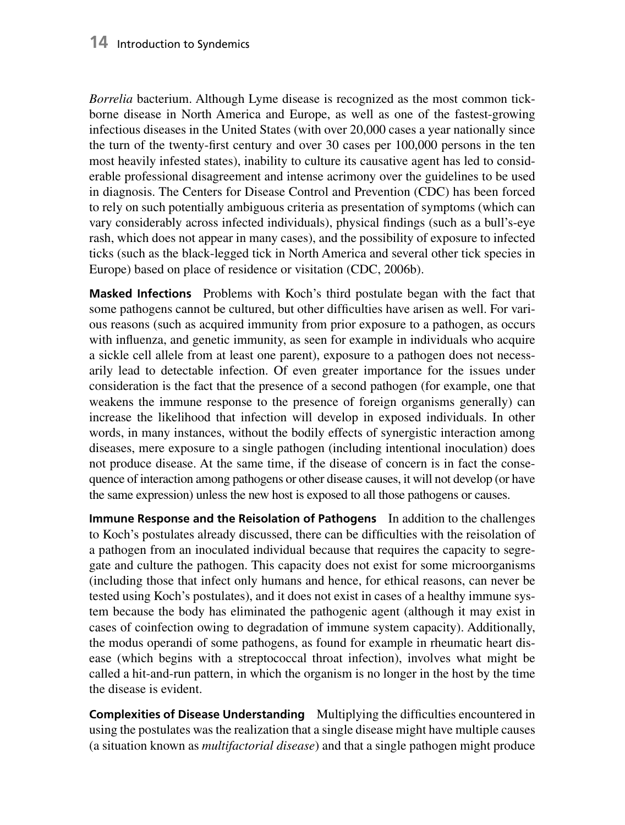#### **14** Introduction to Syndemics

*Borrelia* bacterium. Although Lyme disease is recognized as the most common tick borne disease in North America and Europe, as well as one of the fastest-growing infectious diseases in the United States (with over 20,000 cases a year nationally since the turn of the twenty-first century and over 30 cases per  $100,000$  persons in the ten most heavily infested states), inability to culture its causative agent has led to considerable professional disagreement and intense acrimony over the guidelines to be used in diagnosis. The Centers for Disease Control and Prevention (CDC) has been forced to rely on such potentially ambiguous criteria as presentation of symptoms (which can vary considerably across infected individuals), physical findings (such as a bull's-eye rash, which does not appear in many cases), and the possibility of exposure to infected ticks (such as the black - legged tick in North America and several other tick species in Europe) based on place of residence or visitation (CDC, 2006b).

**Masked Infections** Problems with Koch's third postulate began with the fact that some pathogens cannot be cultured, but other difficulties have arisen as well. For various reasons (such as acquired immunity from prior exposure to a pathogen, as occurs with influenza, and genetic immunity, as seen for example in individuals who acquire a sickle cell allele from at least one parent), exposure to a pathogen does not necessarily lead to detectable infection. Of even greater importance for the issues under consideration is the fact that the presence of a second pathogen (for example, one that weakens the immune response to the presence of foreign organisms generally) can increase the likelihood that infection will develop in exposed individuals. In other words, in many instances, without the bodily effects of synergistic interaction among diseases, mere exposure to a single pathogen (including intentional inoculation) does not produce disease. At the same time, if the disease of concern is in fact the consequence of interaction among pathogens or other disease causes, it will not develop (or have the same expression) unless the new host is exposed to all those pathogens or causes.

**Immune Response and the Reisolation of Pathogens** In addition to the challenges to Koch's postulates already discussed, there can be difficulties with the reisolation of a pathogen from an inoculated individual because that requires the capacity to segregate and culture the pathogen. This capacity does not exist for some microorganisms (including those that infect only humans and hence, for ethical reasons, can never be tested using Koch's postulates), and it does not exist in cases of a healthy immune system because the body has eliminated the pathogenic agent (although it may exist in cases of coinfection owing to degradation of immune system capacity). Additionally, the modus operandi of some pathogens, as found for example in rheumatic heart disease (which begins with a streptococcal throat infection), involves what might be called a hit-and-run pattern, in which the organism is no longer in the host by the time the disease is evident.

**Complexities of Disease Understanding** Multiplying the difficulties encountered in using the postulates was the realization that a single disease might have multiple causes (a situation known as *multifactorial disease* ) and that a single pathogen might produce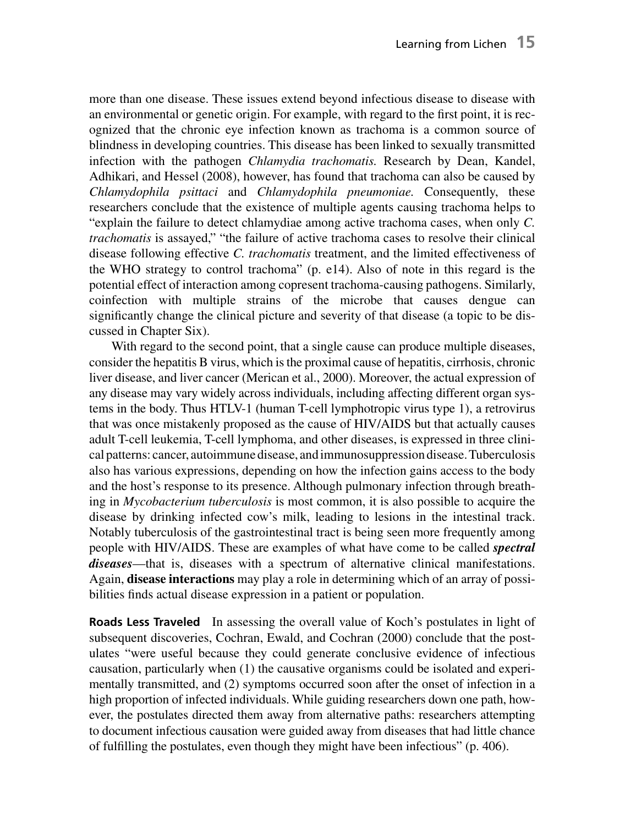more than one disease. These issues extend beyond infectious disease to disease with an environmental or genetic origin. For example, with regard to the first point, it is recognized that the chronic eye infection known as trachoma is a common source of blindness in developing countries. This disease has been linked to sexually transmitted infection with the pathogen *Chlamydia trachomatis.* Research by Dean, Kandel, Adhikari, and Hessel (2008), however, has found that trachoma can also be caused by *Chlamydophila psittaci* and *Chlamydophila pneumoniae.* Consequently, these researchers conclude that the existence of multiple agents causing trachoma helps to "explain the failure to detect chlamydiae among active trachoma cases, when only *C*. trachomatis is assayed," "the failure of active trachoma cases to resolve their clinical disease following effective *C. trachomatis* treatment, and the limited effectiveness of the WHO strategy to control trachoma" (p. e14). Also of note in this regard is the potential effect of interaction among copresent trachoma - causing pathogens. Similarly, coinfection with multiple strains of the microbe that causes dengue can significantly change the clinical picture and severity of that disease (a topic to be discussed in Chapter Six ).

With regard to the second point, that a single cause can produce multiple diseases, consider the hepatitis B virus, which is the proximal cause of hepatitis, cirrhosis, chronic liver disease, and liver cancer (Merican et al., 2000). Moreover, the actual expression of any disease may vary widely across individuals, including affecting different organ systems in the body. Thus HTLV-1 (human T-cell lymphotropic virus type 1), a retrovirus that was once mistakenly proposed as the cause of HIV/AIDS but that actually causes adult T-cell leukemia, T-cell lymphoma, and other diseases, is expressed in three clinical patterns: cancer, autoimmune disease, and immunosuppression disease. Tuberculosis also has various expressions, depending on how the infection gains access to the body and the host's response to its presence. Although pulmonary infection through breathing in *Mycobacterium tuberculosis* is most common, it is also possible to acquire the disease by drinking infected cow's milk, leading to lesions in the intestinal track. Notably tuberculosis of the gastrointestinal tract is being seen more frequently among people with HIV/AIDS. These are examples of what have come to be called *spectral diseases* — that is, diseases with a spectrum of alternative clinical manifestations. Again, **disease interactions** may play a role in determining which of an array of possibilities finds actual disease expression in a patient or population.

**Roads Less Traveled** In assessing the overall value of Koch's postulates in light of subsequent discoveries, Cochran, Ewald, and Cochran (2000) conclude that the postulates " were useful because they could generate conclusive evidence of infectious causation, particularly when (1) the causative organisms could be isolated and experimentally transmitted, and (2) symptoms occurred soon after the onset of infection in a high proportion of infected individuals. While guiding researchers down one path, however, the postulates directed them away from alternative paths: researchers attempting to document infectious causation were guided away from diseases that had little chance of fulfilling the postulates, even though they might have been infectious" (p. 406).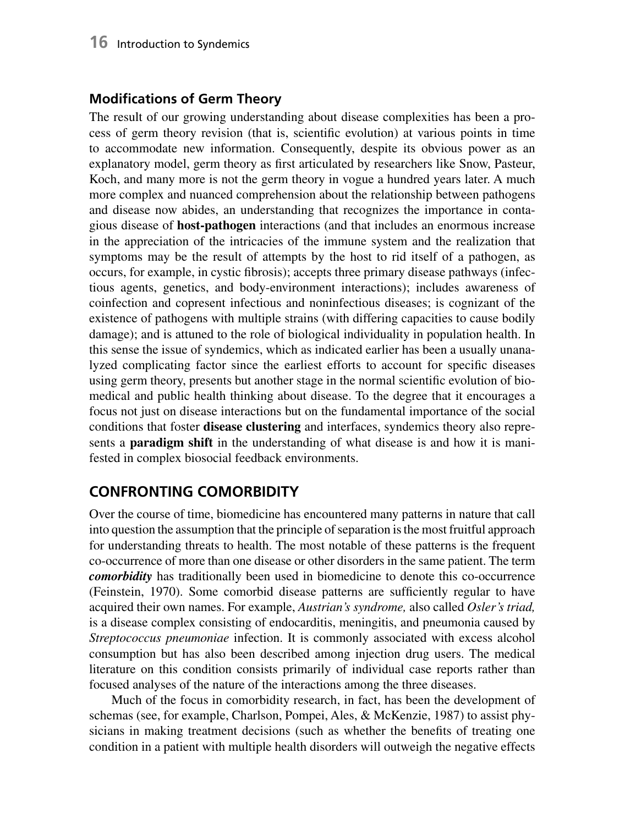# **Modifications of Germ Theory**

The result of our growing understanding about disease complexities has been a process of germ theory revision (that is, scientific evolution) at various points in time to accommodate new information. Consequently, despite its obvious power as an explanatory model, germ theory as first articulated by researchers like Snow, Pasteur, Koch, and many more is not the germ theory in vogue a hundred years later. A much more complex and nuanced comprehension about the relationship between pathogens and disease now abides, an understanding that recognizes the importance in contagious disease of **host - pathogen** interactions (and that includes an enormous increase in the appreciation of the intricacies of the immune system and the realization that symptoms may be the result of attempts by the host to rid itself of a pathogen, as occurs, for example, in cystic fibrosis); accepts three primary disease pathways (infectious agents, genetics, and body-environment interactions); includes awareness of coinfection and copresent infectious and noninfectious diseases; is cognizant of the existence of pathogens with multiple strains (with differing capacities to cause bodily damage); and is attuned to the role of biological individuality in population health. In this sense the issue of syndemics, which as indicated earlier has been a usually unanalyzed complicating factor since the earliest efforts to account for specific diseases using germ theory, presents but another stage in the normal scientific evolution of biomedical and public health thinking about disease. To the degree that it encourages a focus not just on disease interactions but on the fundamental importance of the social conditions that foster **disease clustering** and interfaces, syndemics theory also represents a **paradigm shift** in the understanding of what disease is and how it is manifested in complex biosocial feedback environments.

# **CONFRONTING COMORBIDITY**

Over the course of time, biomedicine has encountered many patterns in nature that call into question the assumption that the principle of separation is the most fruitful approach for understanding threats to health. The most notable of these patterns is the frequent co - occurrence of more than one disease or other disorders in the same patient. The term *comorbidity* has traditionally been used in biomedicine to denote this co-occurrence (Feinstein, 1970). Some comorbid disease patterns are sufficiently regular to have acquired their own names. For example, *Austrian's syndrome*, also called *Osler's triad*, is a disease complex consisting of endocarditis, meningitis, and pneumonia caused by *Streptococcus pneumoniae* infection. It is commonly associated with excess alcohol consumption but has also been described among injection drug users. The medical literature on this condition consists primarily of individual case reports rather than focused analyses of the nature of the interactions among the three diseases.

Much of the focus in comorbidity research, in fact, has been the development of schemas (see, for example, Charlson, Pompei, Ales, & McKenzie, 1987) to assist physicians in making treatment decisions (such as whether the benefits of treating one condition in a patient with multiple health disorders will outweigh the negative effects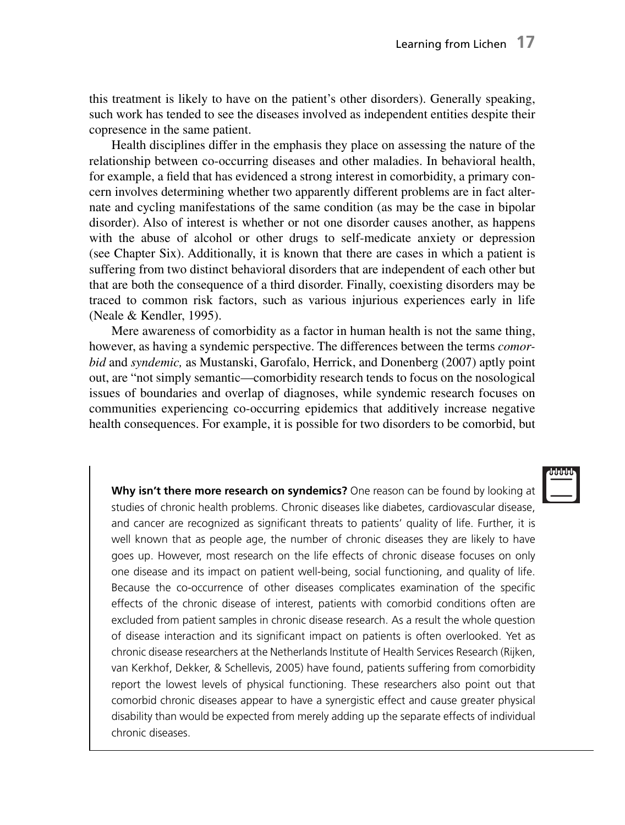this treatment is likely to have on the patient's other disorders). Generally speaking, such work has tended to see the diseases involved as independent entities despite their copresence in the same patient.

Health disciplines differ in the emphasis they place on assessing the nature of the relationship between co-occurring diseases and other maladies. In behavioral health, for example, a field that has evidenced a strong interest in comorbidity, a primary concern involves determining whether two apparently different problems are in fact alternate and cycling manifestations of the same condition (as may be the case in bipolar disorder). Also of interest is whether or not one disorder causes another, as happens with the abuse of alcohol or other drugs to self-medicate anxiety or depression (see Chapter Six ). Additionally, it is known that there are cases in which a patient is suffering from two distinct behavioral disorders that are independent of each other but that are both the consequence of a third disorder. Finally, coexisting disorders may be traced to common risk factors, such as various injurious experiences early in life (Neale & Kendler, 1995).

 Mere awareness of comorbidity as a factor in human health is not the same thing, however, as having a syndemic perspective. The differences between the terms *comorbid* and *syndemic,* as Mustanski, Garofalo, Herrick, and Donenberg (2007) aptly point out, are " not simply semantic — comorbidity research tends to focus on the nosological issues of boundaries and overlap of diagnoses, while syndemic research focuses on communities experiencing co - occurring epidemics that additively increase negative health consequences. For example, it is possible for two disorders to be comorbid, but

**Why isn't there more research on syndemics?** One reason can be found by looking at studies of chronic health problems. Chronic diseases like diabetes, cardiovascular disease, and cancer are recognized as significant threats to patients' quality of life. Further, it is well known that as people age, the number of chronic diseases they are likely to have goes up. However, most research on the life effects of chronic disease focuses on only one disease and its impact on patient well-being, social functioning, and quality of life. Because the co-occurrence of other diseases complicates examination of the specific effects of the chronic disease of interest, patients with comorbid conditions often are excluded from patient samples in chronic disease research. As a result the whole question of disease interaction and its significant impact on patients is often overlooked. Yet as chronic disease researchers at the Netherlands Institute of Health Services Research (Rijken, van Kerkhof, Dekker, & Schellevis, 2005) have found, patients suffering from comorbidity report the lowest levels of physical functioning. These researchers also point out that comorbid chronic diseases appear to have a synergistic effect and cause greater physical disability than would be expected from merely adding up the separate effects of individual chronic diseases.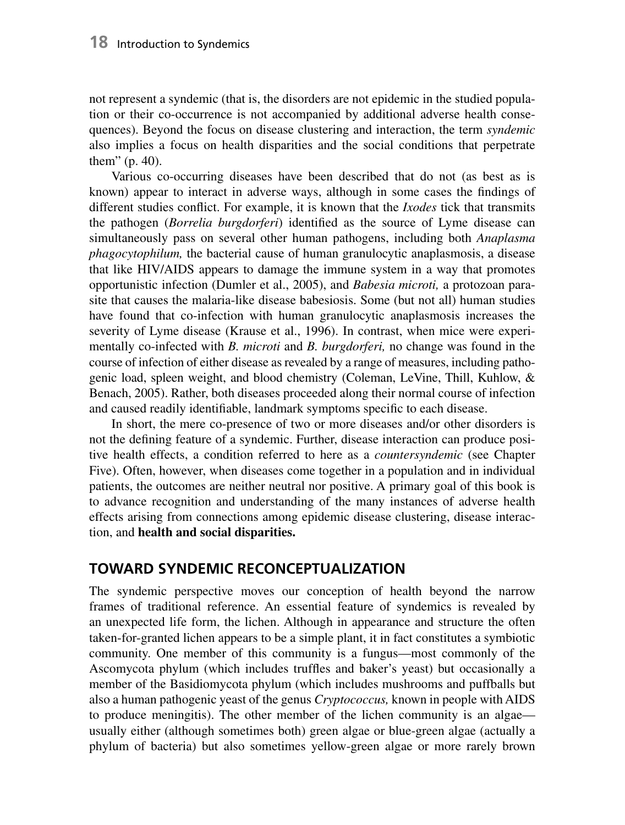not represent a syndemic (that is, the disorders are not epidemic in the studied population or their co-occurrence is not accompanied by additional adverse health consequences). Beyond the focus on disease clustering and interaction, the term *syndemic* also implies a focus on health disparities and the social conditions that perpetrate them"  $(p. 40)$ .

Various co-occurring diseases have been described that do not (as best as is known) appear to interact in adverse ways, although in some cases the findings of different studies conflict. For example, it is known that the *Ixodes* tick that transmits the pathogen (*Borrelia burgdorferi*) identified as the source of Lyme disease can simultaneously pass on several other human pathogens, including both *Anaplasma phagocytophilum,* the bacterial cause of human granulocytic anaplasmosis, a disease that like HIV/AIDS appears to damage the immune system in a way that promotes opportunistic infection (Dumler et al., 2005), and *Babesia microti,* a protozoan parasite that causes the malaria-like disease babesiosis. Some (but not all) human studies have found that co-infection with human granulocytic anaplasmosis increases the severity of Lyme disease (Krause et al., 1996). In contrast, when mice were experimentally co-infected with *B. microti* and *B. burgdorferi*, no change was found in the course of infection of either disease as revealed by a range of measures, including pathogenic load, spleen weight, and blood chemistry (Coleman, LeVine, Thill, Kuhlow, & Benach, 2005). Rather, both diseases proceeded along their normal course of infection and caused readily identifiable, landmark symptoms specific to each disease.

In short, the mere co-presence of two or more diseases and/or other disorders is not the defining feature of a syndemic. Further, disease interaction can produce positive health effects, a condition referred to here as a *countersyndemic* (see Chapter Five ). Often, however, when diseases come together in a population and in individual patients, the outcomes are neither neutral nor positive. A primary goal of this book is to advance recognition and understanding of the many instances of adverse health effects arising from connections among epidemic disease clustering, disease interaction, and **health and social disparities.**

# **TOWARD SYNDEMIC RECONCEPTUALIZATION**

 The syndemic perspective moves our conception of health beyond the narrow frames of traditional reference. An essential feature of syndemics is revealed by an unexpected life form, the lichen. Although in appearance and structure the often taken-for-granted lichen appears to be a simple plant, it in fact constitutes a symbiotic community. One member of this community is a fungus—most commonly of the Ascomycota phylum (which includes truffles and baker's yeast) but occasionally a member of the Basidiomycota phylum (which includes mushrooms and puffballs but also a human pathogenic yeast of the genus *Cryptococcus,* known in people with AIDS to produce meningitis). The other member of the lichen community is an algae usually either (although sometimes both) green algae or blue-green algae (actually a phylum of bacteria) but also sometimes yellow - green algae or more rarely brown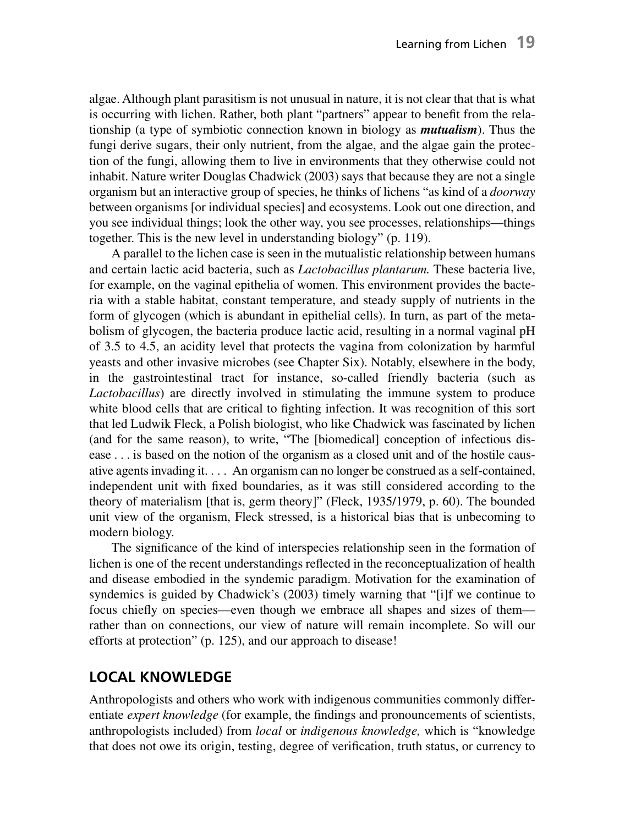algae. Although plant parasitism is not unusual in nature, it is not clear that that is what is occurring with lichen. Rather, both plant "partners" appear to benefit from the relationship (a type of symbiotic connection known in biology as *mutualism* ). Thus the fungi derive sugars, their only nutrient, from the algae, and the algae gain the protection of the fungi, allowing them to live in environments that they otherwise could not inhabit. Nature writer Douglas Chadwick (2003) says that because they are not a single organism but an interactive group of species, he thinks of lichens " as kind of a *doorway* between organisms [or individual species] and ecosystems. Look out one direction, and you see individual things; look the other way, you see processes, relationships—things together. This is the new level in understanding biology" (p. 119).

A parallel to the lichen case is seen in the mutualistic relationship between humans and certain lactic acid bacteria, such as *Lactobacillus plantarum.* These bacteria live, for example, on the vaginal epithelia of women. This environment provides the bacteria with a stable habitat, constant temperature, and steady supply of nutrients in the form of glycogen (which is abundant in epithelial cells). In turn, as part of the metabolism of glycogen, the bacteria produce lactic acid, resulting in a normal vaginal pH of 3.5 to 4.5, an acidity level that protects the vagina from colonization by harmful yeasts and other invasive microbes (see Chapter Six ). Notably, elsewhere in the body, in the gastrointestinal tract for instance, so-called friendly bacteria (such as *Lactobacillus* ) are directly involved in stimulating the immune system to produce white blood cells that are critical to fighting infection. It was recognition of this sort that led Ludwik Fleck, a Polish biologist, who like Chadwick was fascinated by lichen (and for the same reason), to write, " The [biomedical] conception of infectious disease . . . is based on the notion of the organism as a closed unit and of the hostile causative agents invading it.. . . An organism can no longer be construed as a self - contained, independent unit with fixed boundaries, as it was still considered according to the theory of materialism [that is, germ theory]" (Fleck, 1935/1979, p. 60). The bounded unit view of the organism, Fleck stressed, is a historical bias that is unbecoming to modern biology.

The significance of the kind of interspecies relationship seen in the formation of lichen is one of the recent understandings reflected in the reconceptualization of health and disease embodied in the syndemic paradigm. Motivation for the examination of syndemics is guided by Chadwick's (2003) timely warning that "[i]f we continue to focus chiefly on species—even though we embrace all shapes and sizes of them rather than on connections, our view of nature will remain incomplete. So will our efforts at protection" (p. 125), and our approach to disease!

# **LOCAL KNOWLEDGE**

Anthropologists and others who work with indigenous communities commonly differentiate *expert knowledge* (for example, the findings and pronouncements of scientists, anthropologists included) from *local* or *indigenous knowledge,* which is " knowledge that does not owe its origin, testing, degree of verification, truth status, or currency to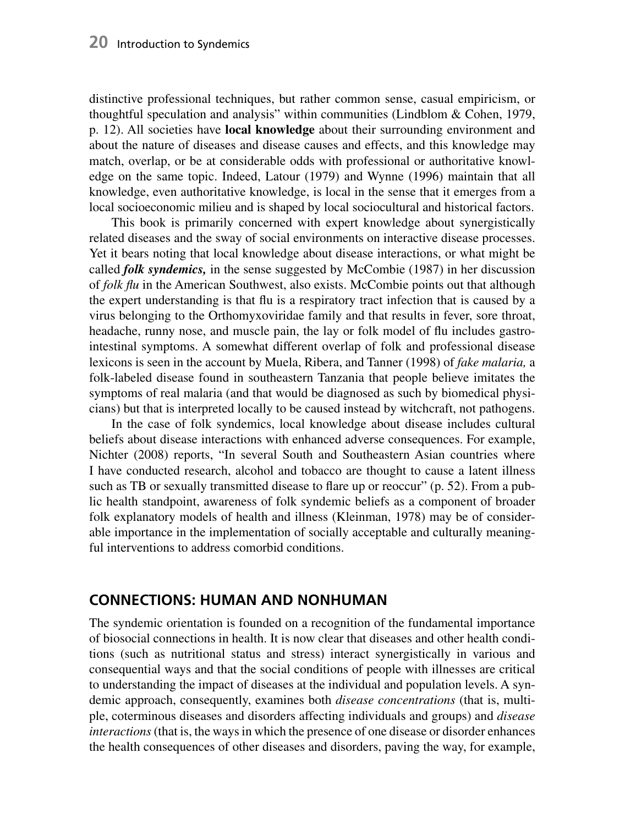distinctive professional techniques, but rather common sense, casual empiricism, or thoughtful speculation and analysis" within communities (Lindblom  $& Cohen, 1979,$ p. 12). All societies have **local knowledge** about their surrounding environment and about the nature of diseases and disease causes and effects, and this knowledge may match, overlap, or be at considerable odds with professional or authoritative knowledge on the same topic. Indeed, Latour (1979) and Wynne (1996) maintain that all knowledge, even authoritative knowledge, is local in the sense that it emerges from a local socioeconomic milieu and is shaped by local sociocultural and historical factors.

This book is primarily concerned with expert knowledge about synergistically related diseases and the sway of social environments on interactive disease processes. Yet it bears noting that local knowledge about disease interactions, or what might be called *folk syndemics,* in the sense suggested by McCombie (1987) in her discussion of *folk flu* in the American Southwest, also exists. McCombie points out that although the expert understanding is that flu is a respiratory tract infection that is caused by a virus belonging to the Orthomyxoviridae family and that results in fever, sore throat, headache, runny nose, and muscle pain, the lay or folk model of flu includes gastrointestinal symptoms. A somewhat different overlap of folk and professional disease lexicons is seen in the account by Muela, Ribera, and Tanner (1998) of *fake malaria,* a folk-labeled disease found in southeastern Tanzania that people believe imitates the symptoms of real malaria (and that would be diagnosed as such by biomedical physicians) but that is interpreted locally to be caused instead by witchcraft, not pathogens.

In the case of folk syndemics, local knowledge about disease includes cultural beliefs about disease interactions with enhanced adverse consequences. For example, Nichter (2008) reports, "In several South and Southeastern Asian countries where I have conducted research, alcohol and tobacco are thought to cause a latent illness such as TB or sexually transmitted disease to flare up or reoccur" (p. 52). From a public health standpoint, awareness of folk syndemic beliefs as a component of broader folk explanatory models of health and illness (Kleinman, 1978) may be of considerable importance in the implementation of socially acceptable and culturally meaningful interventions to address comorbid conditions.

### **CONNECTIONS: HUMAN AND NONHUMAN**

The syndemic orientation is founded on a recognition of the fundamental importance of biosocial connections in health. It is now clear that diseases and other health conditions (such as nutritional status and stress) interact synergistically in various and consequential ways and that the social conditions of people with illnesses are critical to understanding the impact of diseases at the individual and population levels. A syndemic approach, consequently, examines both *disease concentrations* (that is, multiple, coterminous diseases and disorders affecting individuals and groups) and *disease interactions* (that is, the ways in which the presence of one disease or disorder enhances the health consequences of other diseases and disorders, paving the way, for example,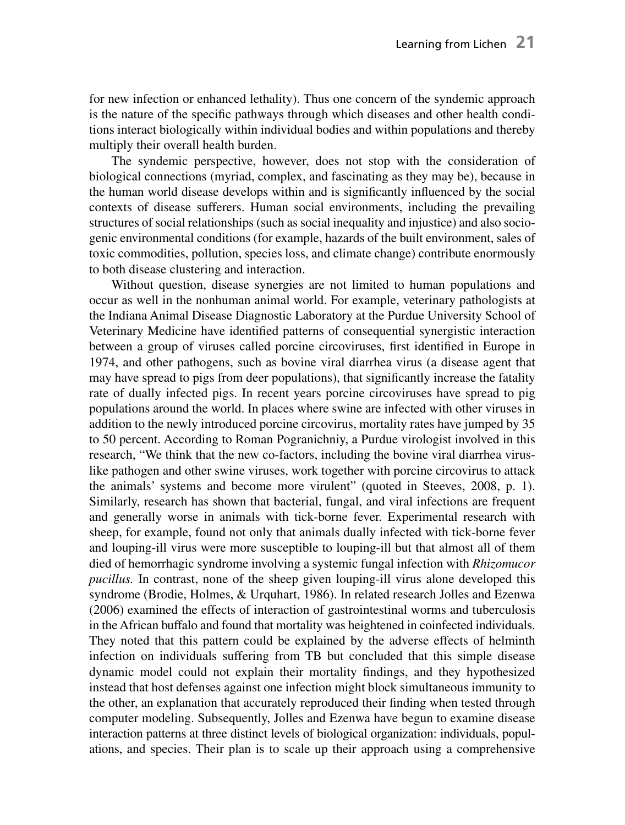for new infection or enhanced lethality). Thus one concern of the syndemic approach is the nature of the specific pathways through which diseases and other health conditions interact biologically within individual bodies and within populations and thereby multiply their overall health burden.

The syndemic perspective, however, does not stop with the consideration of biological connections (myriad, complex, and fascinating as they may be), because in the human world disease develops within and is significantly influenced by the social contexts of disease sufferers. Human social environments, including the prevailing structures of social relationships (such as social inequality and injustice) and also sociogenic environmental conditions (for example, hazards of the built environment, sales of toxic commodities, pollution, species loss, and climate change) contribute enormously to both disease clustering and interaction.

Without question, disease synergies are not limited to human populations and occur as well in the nonhuman animal world. For example, veterinary pathologists at the Indiana Animal Disease Diagnostic Laboratory at the Purdue University School of Veterinary Medicine have identified patterns of consequential synergistic interaction between a group of viruses called porcine circoviruses, first identified in Europe in 1974, and other pathogens, such as bovine viral diarrhea virus (a disease agent that may have spread to pigs from deer populations), that significantly increase the fatality rate of dually infected pigs. In recent years porcine circoviruses have spread to pig populations around the world. In places where swine are infected with other viruses in addition to the newly introduced porcine circovirus, mortality rates have jumped by 35 to 50 percent. According to Roman Pogranichniy, a Purdue virologist involved in this research, "We think that the new co-factors, including the bovine viral diarrhea virus like pathogen and other swine viruses, work together with porcine circovirus to attack the animals' systems and become more virulent" (quoted in Steeves, 2008, p. 1). Similarly, research has shown that bacterial, fungal, and viral infections are frequent and generally worse in animals with tick-borne fever. Experimental research with sheep, for example, found not only that animals dually infected with tick-borne fever and louping-ill virus were more susceptible to louping-ill but that almost all of them died of hemorrhagic syndrome involving a systemic fungal infection with *Rhizomucor pucillus*. In contrast, none of the sheep given louping-ill virus alone developed this syndrome (Brodie, Holmes, & Urquhart, 1986). In related research Jolles and Ezenwa (2006) examined the effects of interaction of gastrointestinal worms and tuberculosis in the African buffalo and found that mortality was heightened in coinfected individuals. They noted that this pattern could be explained by the adverse effects of helminth infection on individuals suffering from TB but concluded that this simple disease dynamic model could not explain their mortality findings, and they hypothesized instead that host defenses against one infection might block simultaneous immunity to the other, an explanation that accurately reproduced their finding when tested through computer modeling. Subsequently, Jolles and Ezenwa have begun to examine disease interaction patterns at three distinct levels of biological organization: individuals, populations, and species. Their plan is to scale up their approach using a comprehensive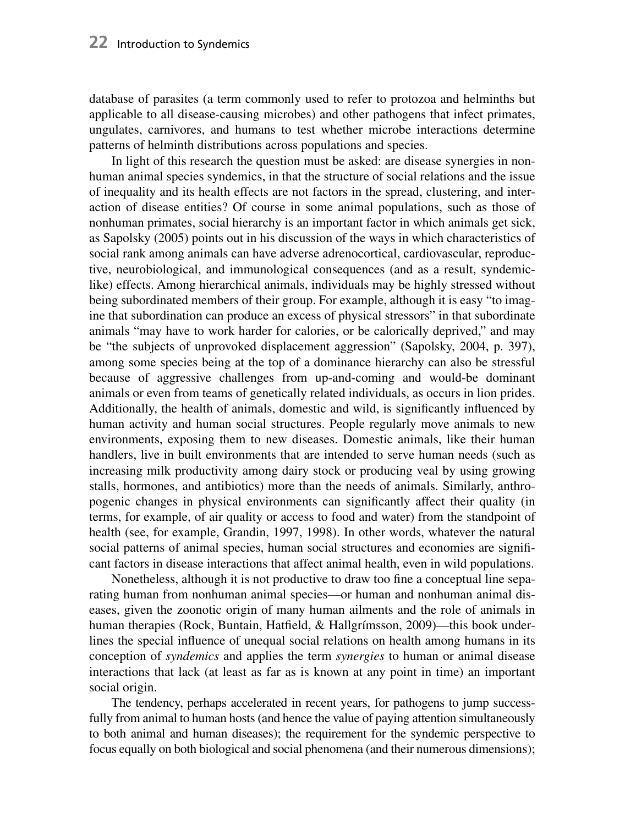database of parasites (a term commonly used to refer to protozoa and helminths but applicable to all disease - causing microbes) and other pathogens that infect primates, ungulates, carnivores, and humans to test whether microbe interactions determine patterns of helminth distributions across populations and species.

In light of this research the question must be asked: are disease synergies in nonhuman animal species syndemics, in that the structure of social relations and the issue of inequality and its health effects are not factors in the spread, clustering, and interaction of disease entities? Of course in some animal populations, such as those of nonhuman primates, social hierarchy is an important factor in which animals get sick, as Sapolsky (2005) points out in his discussion of the ways in which characteristics of social rank among animals can have adverse adrenocortical, cardiovascular, reproductive, neurobiological, and immunological consequences (and as a result, syndemic like) effects. Among hierarchical animals, individuals may be highly stressed without being subordinated members of their group. For example, although it is easy "to imagine that subordination can produce an excess of physical stressors " in that subordinate animals "may have to work harder for calories, or be calorically deprived," and may be "the subjects of unprovoked displacement aggression" (Sapolsky, 2004, p. 397), among some species being at the top of a dominance hierarchy can also be stressful because of aggressive challenges from up-and-coming and would-be dominant animals or even from teams of genetically related individuals, as occurs in lion prides. Additionally, the health of animals, domestic and wild, is significantly influenced by human activity and human social structures. People regularly move animals to new environments, exposing them to new diseases. Domestic animals, like their human handlers, live in built environments that are intended to serve human needs (such as increasing milk productivity among dairy stock or producing veal by using growing stalls, hormones, and antibiotics) more than the needs of animals. Similarly, anthropogenic changes in physical environments can significantly affect their quality (in terms, for example, of air quality or access to food and water) from the standpoint of health (see, for example, Grandin, 1997, 1998). In other words, whatever the natural social patterns of animal species, human social structures and economies are significant factors in disease interactions that affect animal health, even in wild populations.

Nonetheless, although it is not productive to draw too fine a conceptual line separating human from nonhuman animal species—or human and nonhuman animal diseases, given the zoonotic origin of many human ailments and the role of animals in human therapies (Rock, Buntain, Hatfield, & Hallgrímsson, 2009)—this book underlines the special influence of unequal social relations on health among humans in its conception of *syndemics* and applies the term *synergies* to human or animal disease interactions that lack (at least as far as is known at any point in time) an important social origin.

The tendency, perhaps accelerated in recent years, for pathogens to jump successfully from animal to human hosts (and hence the value of paying attention simultaneously to both animal and human diseases); the requirement for the syndemic perspective to focus equally on both biological and social phenomena (and their numerous dimensions);